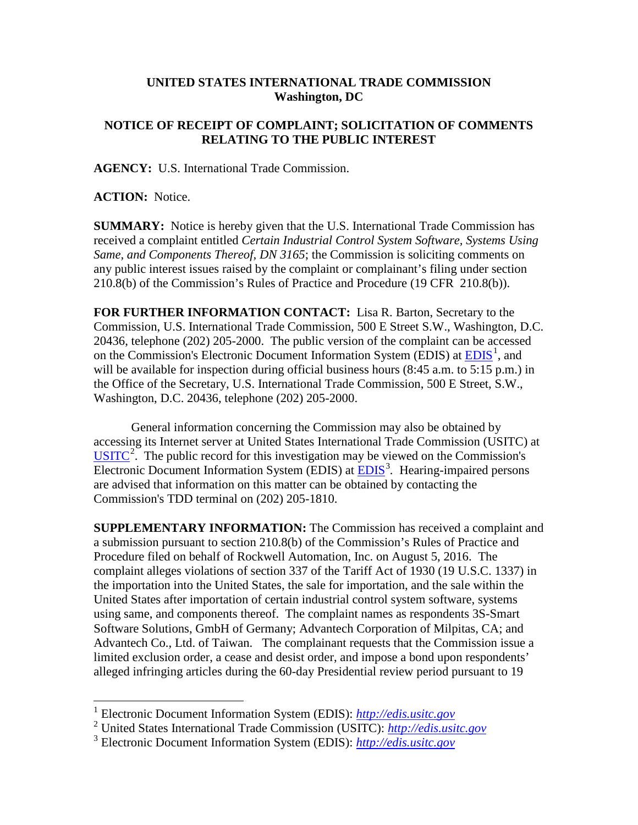## **UNITED STATES INTERNATIONAL TRADE COMMISSION Washington, DC**

## **NOTICE OF RECEIPT OF COMPLAINT; SOLICITATION OF COMMENTS RELATING TO THE PUBLIC INTEREST**

**AGENCY:** U.S. International Trade Commission.

**ACTION:** Notice.

**SUMMARY:** Notice is hereby given that the U.S. International Trade Commission has received a complaint entitled *Certain Industrial Control System Software, Systems Using Same, and Components Thereof, DN 3165*; the Commission is soliciting comments on any public interest issues raised by the complaint or complainant's filing under section 210.8(b) of the Commission's Rules of Practice and Procedure (19 CFR 210.8(b)).

**FOR FURTHER INFORMATION CONTACT:** Lisa R. Barton, Secretary to the Commission, U.S. International Trade Commission, 500 E Street S.W., Washington, D.C. 20436, telephone (202) 205-2000. The public version of the complaint can be accessed on the Commission's Electronic Document Information System (EDIS) at  $\underline{EDIS}^1$  $\underline{EDIS}^1$ , and will be available for inspection during official business hours (8:45 a.m. to 5:15 p.m.) in the Office of the Secretary, U.S. International Trade Commission, 500 E Street, S.W., Washington, D.C. 20436, telephone (202) 205-2000.

General information concerning the Commission may also be obtained by accessing its Internet server at United States International Trade Commission (USITC) at  $\overline{USTTC}^2$  $\overline{USTTC}^2$ . The public record for this investigation may be viewed on the Commission's Electronic Document Information System (EDIS) at **EDIS**<sup>[3](#page-0-2)</sup>. Hearing-impaired persons are advised that information on this matter can be obtained by contacting the Commission's TDD terminal on (202) 205-1810.

**SUPPLEMENTARY INFORMATION:** The Commission has received a complaint and a submission pursuant to section 210.8(b) of the Commission's Rules of Practice and Procedure filed on behalf of Rockwell Automation, Inc. on August 5, 2016. The complaint alleges violations of section 337 of the Tariff Act of 1930 (19 U.S.C. 1337) in the importation into the United States, the sale for importation, and the sale within the United States after importation of certain industrial control system software, systems using same, and components thereof. The complaint names as respondents 3S-Smart Software Solutions, GmbH of Germany; Advantech Corporation of Milpitas, CA; and Advantech Co., Ltd. of Taiwan. The complainant requests that the Commission issue a limited exclusion order, a cease and desist order, and impose a bond upon respondents' alleged infringing articles during the 60-day Presidential review period pursuant to 19

<span id="page-0-0"></span> <sup>1</sup> Electronic Document Information System (EDIS): *[http://edis.usitc.gov](http://edis.usitc.gov/)*

<span id="page-0-1"></span><sup>2</sup> United States International Trade Commission (USITC): *[http://edis.usitc.gov](http://edis.usitc.gov/)*

<span id="page-0-2"></span><sup>3</sup> Electronic Document Information System (EDIS): *[http://edis.usitc.gov](http://edis.usitc.gov/)*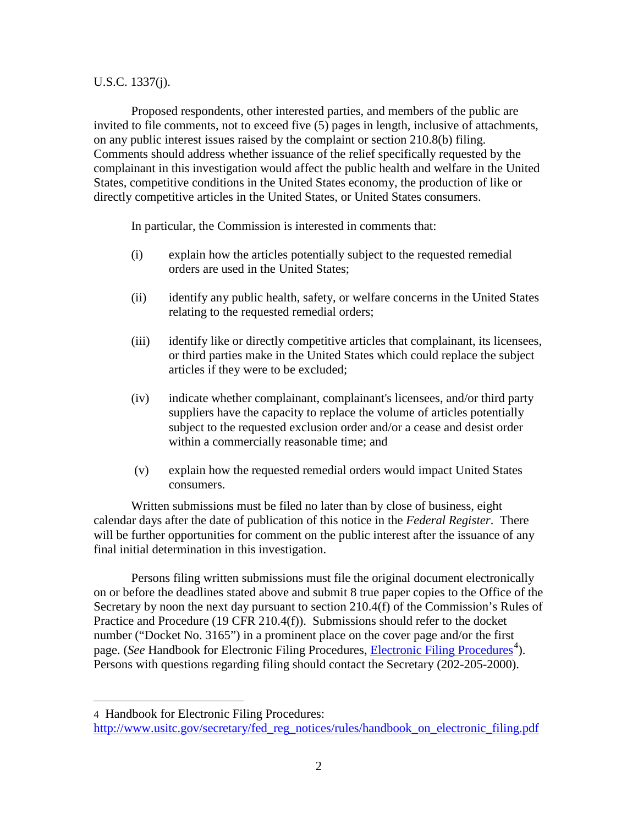## U.S.C. 1337(j).

Proposed respondents, other interested parties, and members of the public are invited to file comments, not to exceed five (5) pages in length, inclusive of attachments, on any public interest issues raised by the complaint or section 210.8(b) filing. Comments should address whether issuance of the relief specifically requested by the complainant in this investigation would affect the public health and welfare in the United States, competitive conditions in the United States economy, the production of like or directly competitive articles in the United States, or United States consumers.

In particular, the Commission is interested in comments that:

- (i) explain how the articles potentially subject to the requested remedial orders are used in the United States;
- (ii) identify any public health, safety, or welfare concerns in the United States relating to the requested remedial orders;
- (iii) identify like or directly competitive articles that complainant, its licensees, or third parties make in the United States which could replace the subject articles if they were to be excluded;
- (iv) indicate whether complainant, complainant's licensees, and/or third party suppliers have the capacity to replace the volume of articles potentially subject to the requested exclusion order and/or a cease and desist order within a commercially reasonable time; and
- (v) explain how the requested remedial orders would impact United States consumers.

Written submissions must be filed no later than by close of business, eight calendar days after the date of publication of this notice in the *Federal Register*. There will be further opportunities for comment on the public interest after the issuance of any final initial determination in this investigation.

Persons filing written submissions must file the original document electronically on or before the deadlines stated above and submit 8 true paper copies to the Office of the Secretary by noon the next day pursuant to section 210.4(f) of the Commission's Rules of Practice and Procedure (19 CFR 210.4(f)). Submissions should refer to the docket number ("Docket No. 3165") in a prominent place on the cover page and/or the first page. (*See* Handbook for [Electronic Filing Procedures](http://www.usitc.gov/secretary/fed_reg_notices/rules/handbook_on_electronic_filing.pdf), *Electronic Filing Procedures*<sup>[4](#page-1-0)</sup>). Persons with questions regarding filing should contact the Secretary (202-205-2000).

 $\overline{a}$ 

<span id="page-1-0"></span><sup>4</sup> Handbook for Electronic Filing Procedures:

[http://www.usitc.gov/secretary/fed\\_reg\\_notices/rules/handbook\\_on\\_electronic\\_filing.pdf](http://www.usitc.gov/secretary/fed_reg_notices/rules/handbook_on_electronic_filing.pdf)